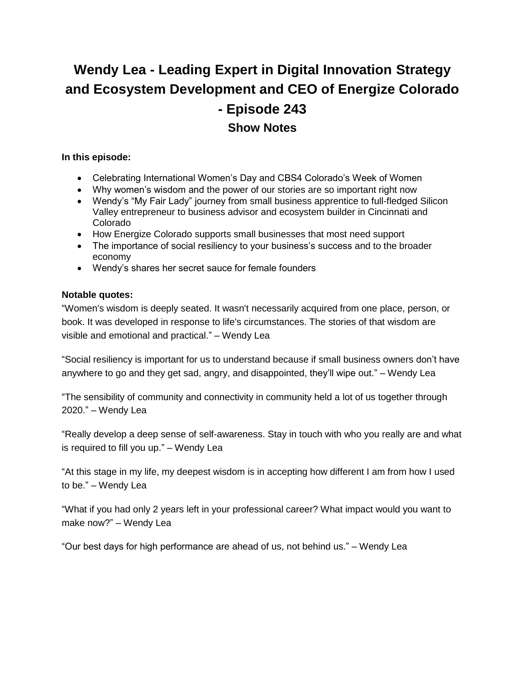# **Wendy Lea - Leading Expert in Digital Innovation Strategy and Ecosystem Development and CEO of Energize Colorado - Episode 243 Show Notes**

## **In this episode:**

- Celebrating International Women's Day and CBS4 Colorado's Week of Women
- Why women's wisdom and the power of our stories are so important right now
- Wendy's "My Fair Lady" journey from small business apprentice to full-fledged Silicon Valley entrepreneur to business advisor and ecosystem builder in Cincinnati and Colorado
- How Energize Colorado supports small businesses that most need support
- The importance of social resiliency to your business's success and to the broader economy
- Wendy's shares her secret sauce for female founders

# **Notable quotes:**

"Women's wisdom is deeply seated. It wasn't necessarily acquired from one place, person, or book. It was developed in response to life's circumstances. The stories of that wisdom are visible and emotional and practical." – Wendy Lea

"Social resiliency is important for us to understand because if small business owners don't have anywhere to go and they get sad, angry, and disappointed, they'll wipe out." – Wendy Lea

"The sensibility of community and connectivity in community held a lot of us together through 2020." – Wendy Lea

"Really develop a deep sense of self-awareness. Stay in touch with who you really are and what is required to fill you up." – Wendy Lea

"At this stage in my life, my deepest wisdom is in accepting how different I am from how I used to be." – Wendy Lea

"What if you had only 2 years left in your professional career? What impact would you want to make now?" – Wendy Lea

"Our best days for high performance are ahead of us, not behind us." – Wendy Lea